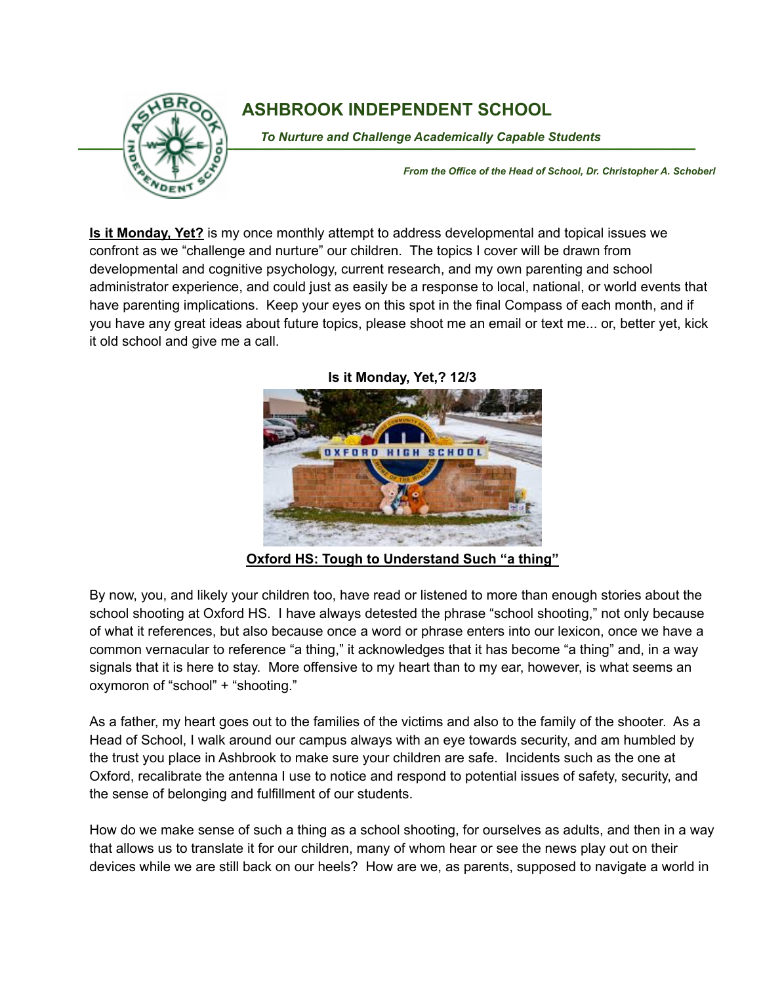

## **ASHBROOK INDEPENDENT SCHOOL**

To Nurture and Challenge Academically Capable Students

*From the Office of the Head of School, Dr. Christopher A. Schoberl*

**Is it Monday, Yet?** is my once monthly attempt to address developmental and topical issues we confront as we "challenge and nurture" our children. The topics I cover will be drawn from developmental and cognitive psychology, current research, and my own parenting and school administrator experience, and could just as easily be a response to local, national, or world events that have parenting implications. Keep your eyes on this spot in the final Compass of each month, and if you have any great ideas about future topics, please shoot me an email or text me... or, better yet, kick it old school and give me a call.



**Is it Monday, Yet,? 12/3**

**Oxford HS: Tough to Understand Such "a thing"**

By now, you, and likely your children too, have read or listened to more than enough stories about the school shooting at Oxford HS. I have always detested the phrase "school shooting," not only because of what it references, but also because once a word or phrase enters into our lexicon, once we have a common vernacular to reference "a thing," it acknowledges that it has become "a thing" and, in a way signals that it is here to stay. More offensive to my heart than to my ear, however, is what seems an oxymoron of "school" + "shooting."

As a father, my heart goes out to the families of the victims and also to the family of the shooter. As a Head of School, I walk around our campus always with an eye towards security, and am humbled by the trust you place in Ashbrook to make sure your children are safe. Incidents such as the one at Oxford, recalibrate the antenna I use to notice and respond to potential issues of safety, security, and the sense of belonging and fulfillment of our students.

How do we make sense of such a thing as a school shooting, for ourselves as adults, and then in a way that allows us to translate it for our children, many of whom hear or see the news play out on their devices while we are still back on our heels? How are we, as parents, supposed to navigate a world in